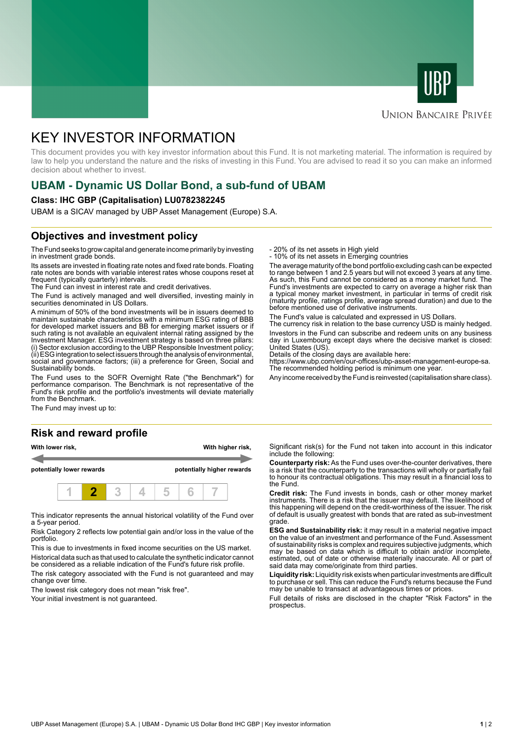



### **UNION BANCAIRE PRIVÉE**

# KEY INVESTOR INFORMATION

This document provides you with key investor information about this Fund. It is not marketing material. The information is required by law to help you understand the nature and the risks of investing in this Fund. You are advised to read it so you can make an informed decision about whether to invest.

# **UBAM - Dynamic US Dollar Bond, a sub-fund of UBAM**

#### **Class: IHC GBP (Capitalisation) LU0782382245**

UBAM is a SICAV managed by UBP Asset Management (Europe) S.A.

## **Objectives and investment policy**

The Fund seeks to grow capital and generate income primarily by investing in investment grade bonds.

Its assets are invested in floating rate notes and fixed rate bonds. Floating rate notes are bonds with variable interest rates whose coupons reset at frequent (typically quarterly) intervals.

The Fund can invest in interest rate and credit derivatives.

The Fund is actively managed and well diversified, investing mainly in securities denominated in US Dollars.

A minimum of 50% of the bond investments will be in issuers deemed to maintain sustainable characteristics with a minimum ESG rating of BBB for developed market issuers and BB for emerging market issuers or if such rating is not available an equivalent internal rating assigned by the Investment Manager. ESG investment strategy is based on three pillars: (i) Sector exclusion according to the UBP Responsible Investment policy; (ii) ESG integration to select issuers through the analysis of environmental, social and governance factors; (iii) a preference for Green, Social and Sustainability bonds.

The Fund uses to the SOFR Overnight Rate ("the Benchmark") for performance comparison. The Benchmark is not representative of the Fund's risk profile and the portfolio's investments will deviate materially from the Benchmark.

The Fund may invest up to:

#### **Risk and reward profile**





This indicator represents the annual historical volatility of the Fund over a 5-year period.

Risk Category 2 reflects low potential gain and/or loss in the value of the portfolio.

This is due to investments in fixed income securities on the US market. Historical data such as that used to calculate the synthetic indicator cannot be considered as a reliable indication of the Fund's future risk profile.

The risk category associated with the Fund is not guaranteed and may change over time.

The lowest risk category does not mean "risk free".

Your initial investment is not guaranteed.

- 20% of its net assets in High yield

- 10% of its net assets in Emerging countries

The average maturity of the bond portfolio excluding cash can be expected to range between 1 and 2.5 years but will not exceed 3 years at any time. As such, this Fund cannot be considered as a money market fund. The Fund's investments are expected to carry on average a higher risk than a typical money market investment, in particular in terms of credit risk (maturity profile, ratings profile, average spread duration) and due to the before mentioned use of derivative instruments.

The Fund's value is calculated and expressed in US Dollars.

The currency risk in relation to the base currency USD is mainly hedged. Investors in the Fund can subscribe and redeem units on any business day in Luxembourg except days where the decisive market is closed:

United States (US). Details of the closing days are available here:

https://www.ubp.com/en/our-offices/ubp-asset-management-europe-sa. The recommended holding period is minimum one year.

Any income received by the Fund is reinvested (capitalisation share class).

Significant risk(s) for the Fund not taken into account in this indicator include the following:

**Counterparty risk:** As the Fund uses over-the-counter derivatives, there is a risk that the counterparty to the transactions will wholly or partially fail to honour its contractual obligations. This may result in a financial loss to the Fund.

**Credit risk:** The Fund invests in bonds, cash or other money market instruments. There is a risk that the issuer may default. The likelihood of this happening will depend on the credit-worthiness of the issuer. The risk of default is usually greatest with bonds that are rated as sub-investment grade.

**ESG and Sustainability risk:** it may result in a material negative impact on the value of an investment and performance of the Fund. Assessment of sustainability risks is complex and requires subjective judgments, which may be based on data which is difficult to obtain and/or incomplete, estimated, out of date or otherwise materially inaccurate. All or part of said data may come/originate from third parties.

**Liquidity risk:** Liquidity risk exists when particular investments are difficult to purchase or sell. This can reduce the Fund's returns because the Fund may be unable to transact at advantageous times or prices.

Full details of risks are disclosed in the chapter "Risk Factors" in the prospectus.